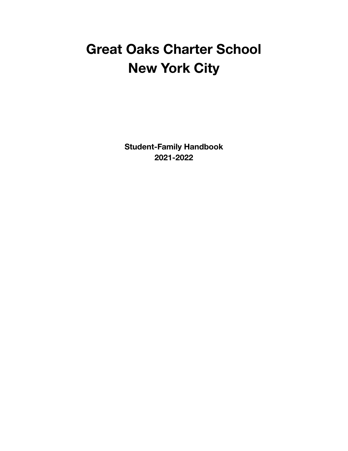# **Great Oaks Charter School New York City**

**Student-Family Handbook 2021-2022**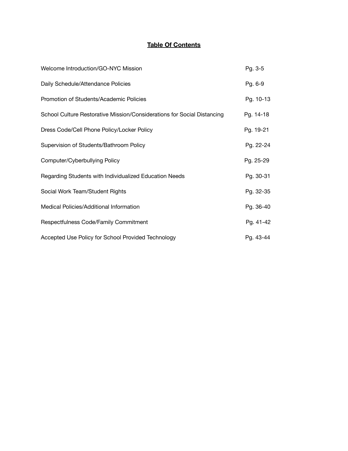#### **Table Of Contents**

| Welcome Introduction/GO-NYC Mission                                     | Pg. 3-5   |
|-------------------------------------------------------------------------|-----------|
| Daily Schedule/Attendance Policies                                      | Pg. 6-9   |
| Promotion of Students/Academic Policies                                 | Pg. 10-13 |
| School Culture Restorative Mission/Considerations for Social Distancing | Pg. 14-18 |
| Dress Code/Cell Phone Policy/Locker Policy                              | Pg. 19-21 |
| Supervision of Students/Bathroom Policy                                 | Pg. 22-24 |
| Computer/Cyberbullying Policy                                           | Pg. 25-29 |
| Regarding Students with Individualized Education Needs                  | Pg. 30-31 |
| Social Work Team/Student Rights                                         | Pg. 32-35 |
| Medical Policies/Additional Information                                 | Pg. 36-40 |
| Respectfulness Code/Family Commitment                                   | Pg. 41-42 |
| Accepted Use Policy for School Provided Technology                      | Pg. 43-44 |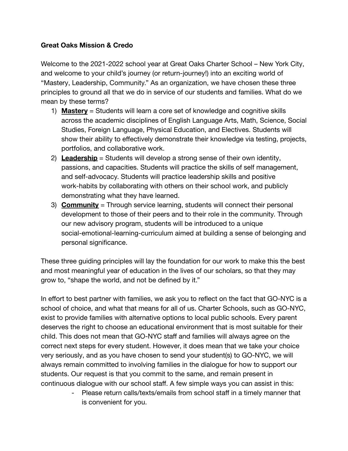#### **Great Oaks Mission & Credo**

Welcome to the 2021-2022 school year at Great Oaks Charter School – New York City, and welcome to your child's journey (or return-journey!) into an exciting world of "Mastery, Leadership, Community." As an organization, we have chosen these three principles to ground all that we do in service of our students and families. What do we mean by these terms?

- 1) **Mastery** = Students will learn a core set of knowledge and cognitive skills across the academic disciplines of English Language Arts, Math, Science, Social Studies, Foreign Language, Physical Education, and Electives. Students will show their ability to effectively demonstrate their knowledge via testing, projects, portfolios, and collaborative work.
- 2) **Leadership** = Students will develop a strong sense of their own identity, passions, and capacities. Students will practice the skills of self management, and self-advocacy. Students will practice leadership skills and positive work-habits by collaborating with others on their school work, and publicly demonstrating what they have learned.
- 3) **Community** = Through service learning, students will connect their personal development to those of their peers and to their role in the community. Through our new advisory program, students will be introduced to a unique social-emotional-learning-curriculum aimed at building a sense of belonging and personal significance.

These three guiding principles will lay the foundation for our work to make this the best and most meaningful year of education in the lives of our scholars, so that they may grow to, "shape the world, and not be defined by it."

In effort to best partner with families, we ask you to reflect on the fact that GO-NYC is a school of choice, and what that means for all of us. Charter Schools, such as GO-NYC, exist to provide families with alternative options to local public schools. Every parent deserves the right to choose an educational environment that is most suitable for their child. This does not mean that GO-NYC staff and families will always agree on the correct next steps for every student. However, it does mean that we take your choice very seriously, and as you have chosen to send your student(s) to GO-NYC, we will always remain committed to involving families in the dialogue for how to support our students. Our request is that you commit to the same, and remain present in continuous dialogue with our school staff. A few simple ways you can assist in this:

> - Please return calls/texts/emails from school staff in a timely manner that is convenient for you.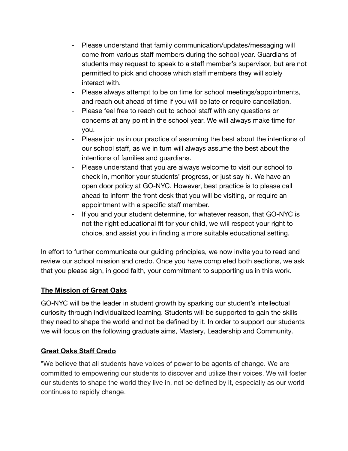- Please understand that family communication/updates/messaging will come from various staff members during the school year. Guardians of students may request to speak to a staff member's supervisor, but are not permitted to pick and choose which staff members they will solely interact with.
- Please always attempt to be on time for school meetings/appointments, and reach out ahead of time if you will be late or require cancellation.
- Please feel free to reach out to school staff with any questions or concerns at any point in the school year. We will always make time for you.
- Please join us in our practice of assuming the best about the intentions of our school staff, as we in turn will always assume the best about the intentions of families and guardians.
- Please understand that you are always welcome to visit our school to check in, monitor your students' progress, or just say hi. We have an open door policy at GO-NYC. However, best practice is to please call ahead to inform the front desk that you will be visiting, or require an appointment with a specific staff member.
- If you and your student determine, for whatever reason, that GO-NYC is not the right educational fit for your child, we will respect your right to choice, and assist you in finding a more suitable educational setting.

In effort to further communicate our guiding principles, we now invite you to read and review our school mission and credo. Once you have completed both sections, we ask that you please sign, in good faith, your commitment to supporting us in this work.

## **The Mission of Great Oaks**

GO-NYC will be the leader in student growth by sparking our student's intellectual curiosity through individualized learning. Students will be supported to gain the skills they need to shape the world and not be defined by it. In order to support our students we will focus on the following graduate aims, Mastery, Leadership and Community.

#### **Great Oaks Staff Credo**

"We believe that all students have voices of power to be agents of change. We are committed to empowering our students to discover and utilize their voices. We will foster our students to shape the world they live in, not be defined by it, especially as our world continues to rapidly change.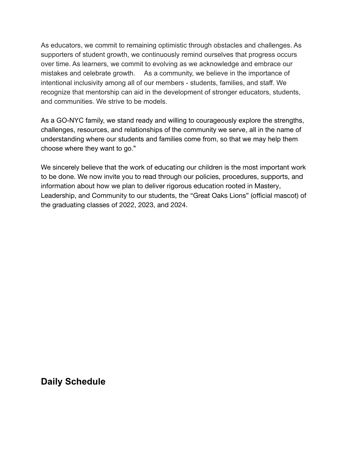As educators, we commit to remaining optimistic through obstacles and challenges. As supporters of student growth, we continuously remind ourselves that progress occurs over time. As learners, we commit to evolving as we acknowledge and embrace our mistakes and celebrate growth. As a community, we believe in the importance of intentional inclusivity among all of our members - students, families, and staff. We recognize that mentorship can aid in the development of stronger educators, students, and communities. We strive to be models.

As a GO-NYC family, we stand ready and willing to courageously explore the strengths, challenges, resources, and relationships of the community we serve, all in the name of understanding where our students and families come from, so that we may help them choose where they want to go."

We sincerely believe that the work of educating our children is the most important work to be done. We now invite you to read through our policies, procedures, supports, and information about how we plan to deliver rigorous education rooted in Mastery, Leadership, and Community to our students, the "Great Oaks Lions" (official mascot) of the graduating classes of 2022, 2023, and 2024.

**Daily Schedule**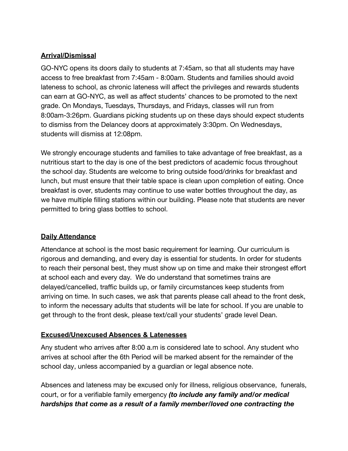### **Arrival/Dismissal**

GO-NYC opens its doors daily to students at 7:45am, so that all students may have access to free breakfast from 7:45am - 8:00am. Students and families should avoid lateness to school, as chronic lateness will affect the privileges and rewards students can earn at GO-NYC, as well as affect students' chances to be promoted to the next grade. On Mondays, Tuesdays, Thursdays, and Fridays, classes will run from 8:00am-3:26pm. Guardians picking students up on these days should expect students to dismiss from the Delancey doors at approximately 3:30pm. On Wednesdays, students will dismiss at 12:08pm.

We strongly encourage students and families to take advantage of free breakfast, as a nutritious start to the day is one of the best predictors of academic focus throughout the school day. Students are welcome to bring outside food/drinks for breakfast and lunch, but must ensure that their table space is clean upon completion of eating. Once breakfast is over, students may continue to use water bottles throughout the day, as we have multiple filling stations within our building. Please note that students are never permitted to bring glass bottles to school.

## **Daily Attendance**

Attendance at school is the most basic requirement for learning. Our curriculum is rigorous and demanding, and every day is essential for students. In order for students to reach their personal best, they must show up on time and make their strongest effort at school each and every day. We do understand that sometimes trains are delayed/cancelled, traffic builds up, or family circumstances keep students from arriving on time. In such cases, we ask that parents please call ahead to the front desk, to inform the necessary adults that students will be late for school. If you are unable to get through to the front desk, please text/call your students' grade level Dean.

#### **Excused/Unexcused Absences & Latenesses**

Any student who arrives after 8:00 a.m is considered late to school. Any student who arrives at school after the 6th Period will be marked absent for the remainder of the school day, unless accompanied by a guardian or legal absence note.

Absences and lateness may be excused only for illness, religious observance, funerals, court, or for a verifiable family emergency *(to include any family and/or medical hardships that come as a result of a family member/loved one contracting the*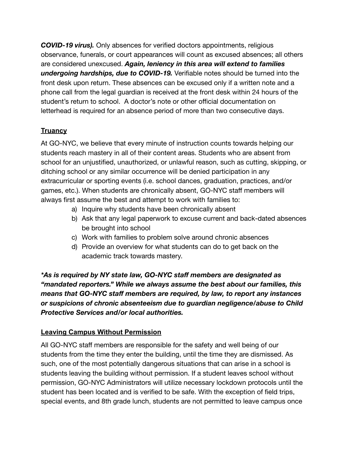*COVID-19 virus).* Only absences for verified doctors appointments, religious observance, funerals, or court appearances will count as excused absences; all others are considered unexcused. *Again, leniency in this area will extend to families undergoing hardships, due to COVID-19.* Verifiable notes should be turned into the front desk upon return. These absences can be excused only if a written note and a phone call from the legal guardian is received at the front desk within 24 hours of the student's return to school. A doctor's note or other official documentation on letterhead is required for an absence period of more than two consecutive days.

## **Truancy**

At GO-NYC, we believe that every minute of instruction counts towards helping our students reach mastery in all of their content areas. Students who are absent from school for an unjustified, unauthorized, or unlawful reason, such as cutting, skipping, or ditching school or any similar occurrence will be denied participation in any extracurricular or sporting events (i.e. school dances, graduation, practices, and/or games, etc.). When students are chronically absent, GO-NYC staff members will always first assume the best and attempt to work with families to:

- a) Inquire why students have been chronically absent
- b) Ask that any legal paperwork to excuse current and back-dated absences be brought into school
- c) Work with families to problem solve around chronic absences
- d) Provide an overview for what students can do to get back on the academic track towards mastery.

*\*As is required by NY state law, GO-NYC staff members are designated as "mandated reporters." While we always assume the best about our families, this means that GO-NYC staff members are required, by law, to report any instances or suspicions of chronic absenteeism due to guardian negligence/abuse to Child Protective Services and/or local authorities.*

## **Leaving Campus Without Permission**

All GO-NYC staff members are responsible for the safety and well being of our students from the time they enter the building, until the time they are dismissed. As such, one of the most potentially dangerous situations that can arise in a school is students leaving the building without permission. If a student leaves school without permission, GO-NYC Administrators will utilize necessary lockdown protocols until the student has been located and is verified to be safe. With the exception of field trips, special events, and 8th grade lunch, students are not permitted to leave campus once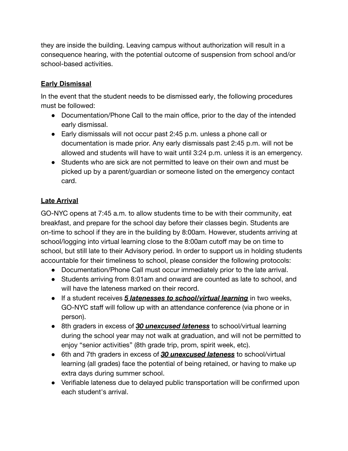they are inside the building. Leaving campus without authorization will result in a consequence hearing, with the potential outcome of suspension from school and/or school-based activities.

## **Early Dismissal**

In the event that the student needs to be dismissed early, the following procedures must be followed:

- Documentation/Phone Call to the main office, prior to the day of the intended early dismissal.
- Early dismissals will not occur past 2:45 p.m. unless a phone call or documentation is made prior. Any early dismissals past 2:45 p.m. will not be allowed and students will have to wait until 3:24 p.m. unless it is an emergency.
- Students who are sick are not permitted to leave on their own and must be picked up by a parent/guardian or someone listed on the emergency contact card.

## **Late Arrival**

GO-NYC opens at 7:45 a.m. to allow students time to be with their community, eat breakfast, and prepare for the school day before their classes begin. Students are on-time to school if they are in the building by 8:00am. However, students arriving at school/logging into virtual learning close to the 8:00am cutoff may be on time to school, but still late to their Advisory period. In order to support us in holding students accountable for their timeliness to school, please consider the following protocols:

- Documentation/Phone Call must occur immediately prior to the late arrival.
- Students arriving from 8:01am and onward are counted as late to school, and will have the lateness marked on their record.
- If a student receives *5 latenesses to school/virtual learning* in two weeks, GO-NYC staff will follow up with an attendance conference (via phone or in person).
- 8th graders in excess of *30 unexcused lateness* to school/virtual learning during the school year may not walk at graduation, and will not be permitted to enjoy "senior activities" (8th grade trip, prom, spirit week, etc).
- 6th and 7th graders in excess of *30 unexcused lateness* to school/virtual learning (all grades) face the potential of being retained, or having to make up extra days during summer school.
- Verifiable lateness due to delayed public transportation will be confirmed upon each student's arrival.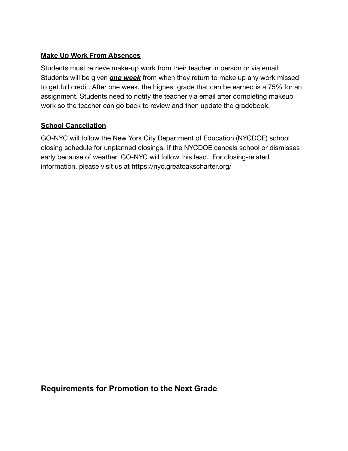#### **Make Up Work From Absences**

Students must retrieve make-up work from their teacher in person or via email. Students will be given *one week* from when they return to make up any work missed to get full credit. After one week, the highest grade that can be earned is a 75% for an assignment. Students need to notify the teacher via email after completing makeup work so the teacher can go back to review and then update the gradebook.

#### **School Cancellation**

GO-NYC will follow the New York City Department of Education (NYCDOE) school closing schedule for unplanned closings. If the NYCDOE cancels school or dismisses early because of weather, GO-NYC will follow this lead. For closing-related information, please visit us at https://nyc.greatoakscharter.org/

**Requirements for Promotion to the Next Grade**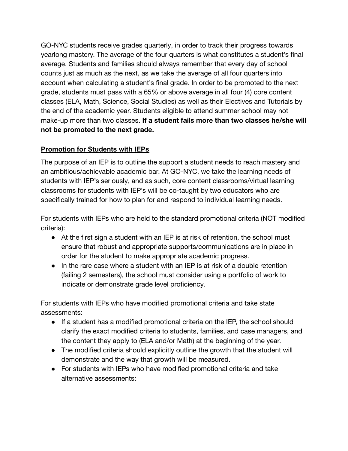GO-NYC students receive grades quarterly, in order to track their progress towards yearlong mastery. The average of the four quarters is what constitutes a student's final average. Students and families should always remember that every day of school counts just as much as the next, as we take the average of all four quarters into account when calculating a student's final grade. In order to be promoted to the next grade, students must pass with a 65% or above average in all four (4) core content classes (ELA, Math, Science, Social Studies) as well as their Electives and Tutorials by the end of the academic year. Students eligible to attend summer school may not make-up more than two classes. **If a student fails more than two classes he/she will not be promoted to the next grade.**

#### **Promotion for Students with IEPs**

The purpose of an IEP is to outline the support a student needs to reach mastery and an ambitious/achievable academic bar. At GO-NYC, we take the learning needs of students with IEP's seriously, and as such, core content classrooms/virtual learning classrooms for students with IEP's will be co-taught by two educators who are specifically trained for how to plan for and respond to individual learning needs.

For students with IEPs who are held to the standard promotional criteria (NOT modified criteria):

- At the first sign a student with an IEP is at risk of retention, the school must ensure that robust and appropriate supports/communications are in place in order for the student to make appropriate academic progress.
- In the rare case where a student with an IEP is at risk of a double retention (failing 2 semesters), the school must consider using a portfolio of work to indicate or demonstrate grade level proficiency.

For students with IEPs who have modified promotional criteria and take state assessments:

- If a student has a modified promotional criteria on the IEP, the school should clarify the exact modified criteria to students, families, and case managers, and the content they apply to (ELA and/or Math) at the beginning of the year.
- The modified criteria should explicitly outline the growth that the student will demonstrate and the way that growth will be measured.
- For students with IEPs who have modified promotional criteria and take alternative assessments: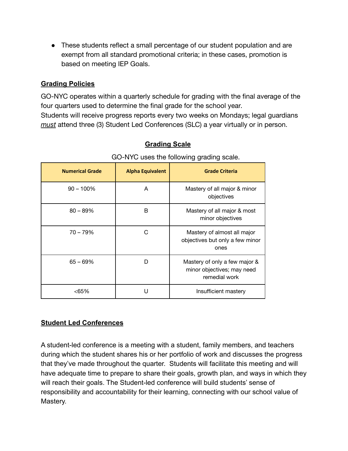• These students reflect a small percentage of our student population and are exempt from all standard promotional criteria; in these cases, promotion is based on meeting IEP Goals.

#### **Grading Policies**

GO-NYC operates within a quarterly schedule for grading with the final average of the four quarters used to determine the final grade for the school year. Students will receive progress reports every two weeks on Mondays; legal guardians *must* attend three (3) Student Led Conferences (SLC) a year virtually or in person.

| <b>Numerical Grade</b> | <b>Alpha Equivalent</b> | <b>Grade Criteria</b>                                                        |
|------------------------|-------------------------|------------------------------------------------------------------------------|
| $90 - 100\%$           | A                       | Mastery of all major & minor<br>objectives                                   |
| $80 - 89%$             | B                       | Mastery of all major & most<br>minor objectives                              |
| $70 - 79%$             | C                       | Mastery of almost all major<br>objectives but only a few minor<br>ones       |
| $65 - 69%$             | D                       | Mastery of only a few major &<br>minor objectives; may need<br>remedial work |
| <65%                   | П                       | Insufficient mastery                                                         |

### **Grading Scale**

# GO-NYC uses the following grading scale.

## **Student Led Conferences**

A student-led conference is a meeting with a student, family members, and teachers during which the student shares his or her portfolio of work and discusses the progress that they've made throughout the quarter. Students will facilitate this meeting and will have adequate time to prepare to share their goals, growth plan, and ways in which they will reach their goals. The Student-led conference will build students' sense of responsibility and accountability for their learning, connecting with our school value of Mastery.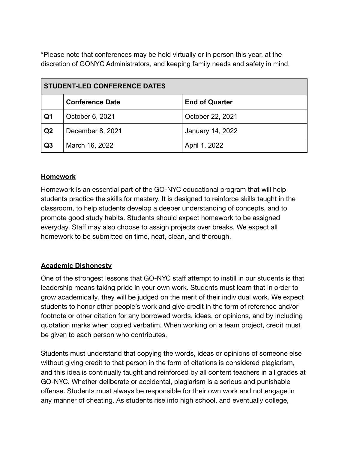\*Please note that conferences may be held virtually or in person this year, at the discretion of GONYC Administrators, and keeping family needs and safety in mind.

| <b>STUDENT-LED CONFERENCE DATES</b> |                        |                       |
|-------------------------------------|------------------------|-----------------------|
|                                     | <b>Conference Date</b> | <b>End of Quarter</b> |
| Q <sub>1</sub>                      | October 6, 2021        | October 22, 2021      |
| Q <sub>2</sub>                      | December 8, 2021       | January 14, 2022      |
| Q3                                  | March 16, 2022         | April 1, 2022         |

#### **Homework**

Homework is an essential part of the GO-NYC educational program that will help students practice the skills for mastery. It is designed to reinforce skills taught in the classroom, to help students develop a deeper understanding of concepts, and to promote good study habits. Students should expect homework to be assigned everyday. Staff may also choose to assign projects over breaks. We expect all homework to be submitted on time, neat, clean, and thorough.

## **Academic Dishonesty**

One of the strongest lessons that GO-NYC staff attempt to instill in our students is that leadership means taking pride in your own work. Students must learn that in order to grow academically, they will be judged on the merit of their individual work. We expect students to honor other people's work and give credit in the form of reference and/or footnote or other citation for any borrowed words, ideas, or opinions, and by including quotation marks when copied verbatim. When working on a team project, credit must be given to each person who contributes.

Students must understand that copying the words, ideas or opinions of someone else without giving credit to that person in the form of citations is considered plagiarism, and this idea is continually taught and reinforced by all content teachers in all grades at GO-NYC. Whether deliberate or accidental, plagiarism is a serious and punishable offense. Students must always be responsible for their own work and not engage in any manner of cheating. As students rise into high school, and eventually college,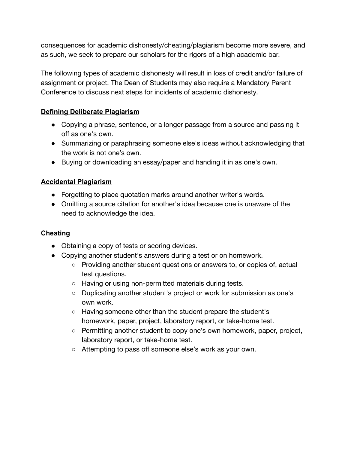consequences for academic dishonesty/cheating/plagiarism become more severe, and as such, we seek to prepare our scholars for the rigors of a high academic bar.

The following types of academic dishonesty will result in loss of credit and/or failure of assignment or project. The Dean of Students may also require a Mandatory Parent Conference to discuss next steps for incidents of academic dishonesty.

#### **Defining Deliberate Plagiarism**

- Copying a phrase, sentence, or a longer passage from a source and passing it off as one's own.
- Summarizing or paraphrasing someone else's ideas without acknowledging that the work is not one's own.
- Buying or downloading an essay/paper and handing it in as one's own.

## **Accidental Plagiarism**

- Forgetting to place quotation marks around another writer's words.
- Omitting a source citation for another's idea because one is unaware of the need to acknowledge the idea.

## **Cheating**

- Obtaining a copy of tests or scoring devices.
- Copying another student's answers during a test or on homework.
	- Providing another student questions or answers to, or copies of, actual test questions.
	- Having or using non-permitted materials during tests.
	- Duplicating another student's project or work for submission as one's own work.
	- Having someone other than the student prepare the student's homework, paper, project, laboratory report, or take-home test.
	- Permitting another student to copy one's own homework, paper, project, laboratory report, or take-home test.
	- Attempting to pass off someone else's work as your own.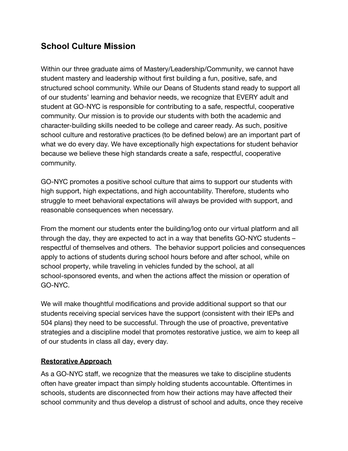## **School Culture Mission**

Within our three graduate aims of Mastery/Leadership/Community, we cannot have student mastery and leadership without first building a fun, positive, safe, and structured school community. While our Deans of Students stand ready to support all of our students' learning and behavior needs, we recognize that EVERY adult and student at GO-NYC is responsible for contributing to a safe, respectful, cooperative community. Our mission is to provide our students with both the academic and character-building skills needed to be college and career ready. As such, positive school culture and restorative practices (to be defined below) are an important part of what we do every day. We have exceptionally high expectations for student behavior because we believe these high standards create a safe, respectful, cooperative community.

GO-NYC promotes a positive school culture that aims to support our students with high support, high expectations, and high accountability. Therefore, students who struggle to meet behavioral expectations will always be provided with support, and reasonable consequences when necessary.

From the moment our students enter the building/log onto our virtual platform and all through the day, they are expected to act in a way that benefits GO-NYC students – respectful of themselves and others. The behavior support policies and consequences apply to actions of students during school hours before and after school, while on school property, while traveling in vehicles funded by the school, at all school-sponsored events, and when the actions affect the mission or operation of GO-NYC.

We will make thoughtful modifications and provide additional support so that our students receiving special services have the support (consistent with their IEPs and 504 plans) they need to be successful. Through the use of proactive, preventative strategies and a discipline model that promotes restorative justice, we aim to keep all of our students in class all day, every day.

## **Restorative Approach**

As a GO-NYC staff, we recognize that the measures we take to discipline students often have greater impact than simply holding students accountable. Oftentimes in schools, students are disconnected from how their actions may have affected their school community and thus develop a distrust of school and adults, once they receive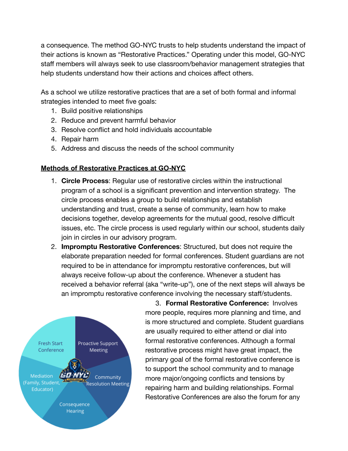a consequence. The method GO-NYC trusts to help students understand the impact of their actions is known as "Restorative Practices." Operating under this model, GO-NYC staff members will always seek to use classroom/behavior management strategies that help students understand how their actions and choices affect others.

As a school we utilize restorative practices that are a set of both formal and informal strategies intended to meet five goals:

- 1. Build positive relationships
- 2. Reduce and prevent harmful behavior
- 3. Resolve conflict and hold individuals accountable
- 4. Repair harm
- 5. Address and discuss the needs of the school community

## **Methods of Restorative Practices at GO-NYC**

- 1. **Circle Process**: Regular use of restorative circles within the instructional program of a school is a significant prevention and intervention strategy. The circle process enables a group to build relationships and establish understanding and trust, create a sense of community, learn how to make decisions together, develop agreements for the mutual good, resolve difficult issues, etc. The circle process is used regularly within our school, students daily join in circles in our advisory program.
- 2. **Impromptu Restorative Conferences**: Structured, but does not require the elaborate preparation needed for formal conferences. Student guardians are not required to be in attendance for impromptu restorative conferences, but will always receive follow-up about the conference. Whenever a student has received a behavior referral (aka "write-up"), one of the next steps will always be an impromptu restorative conference involving the necessary staff/students.



3. **Formal Restorative Conference:** Involves more people, requires more planning and time, and is more structured and complete. Student guardians are usually required to either attend or dial into formal restorative conferences. Although a formal restorative process might have great impact, the primary goal of the formal restorative conference is to support the school community and to manage more major/ongoing conflicts and tensions by repairing harm and building relationships. Formal Restorative Conferences are also the forum for any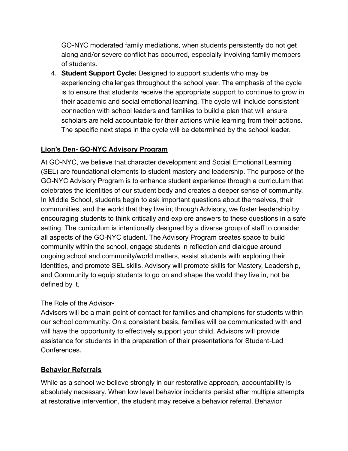GO-NYC moderated family mediations, when students persistently do not get along and/or severe conflict has occurred, especially involving family members of students.

4. **Student Support Cycle:** Designed to support students who may be experiencing challenges throughout the school year. The emphasis of the cycle is to ensure that students receive the appropriate support to continue to grow in their academic and social emotional learning. The cycle will include consistent connection with school leaders and families to build a plan that will ensure scholars are held accountable for their actions while learning from their actions. The specific next steps in the cycle will be determined by the school leader.

## **Lion's Den- GO-NYC Advisory Program**

At GO-NYC, we believe that character development and Social Emotional Learning (SEL) are foundational elements to student mastery and leadership. The purpose of the GO-NYC Advisory Program is to enhance student experience through a curriculum that celebrates the identities of our student body and creates a deeper sense of community. In Middle School, students begin to ask important questions about themselves, their communities, and the world that they live in; through Advisory, we foster leadership by encouraging students to think critically and explore answers to these questions in a safe setting. The curriculum is intentionally designed by a diverse group of staff to consider all aspects of the GO-NYC student. The Advisory Program creates space to build community within the school, engage students in reflection and dialogue around ongoing school and community/world matters, assist students with exploring their identities, and promote SEL skills. Advisory will promote skills for Mastery, Leadership, and Community to equip students to go on and shape the world they live in, not be defined by it.

## The Role of the Advisor-

Advisors will be a main point of contact for families and champions for students within our school community. On a consistent basis, families will be communicated with and will have the opportunity to effectively support your child. Advisors will provide assistance for students in the preparation of their presentations for Student-Led Conferences.

#### **Behavior Referrals**

While as a school we believe strongly in our restorative approach, accountability is absolutely necessary. When low level behavior incidents persist after multiple attempts at restorative intervention, the student may receive a behavior referral. Behavior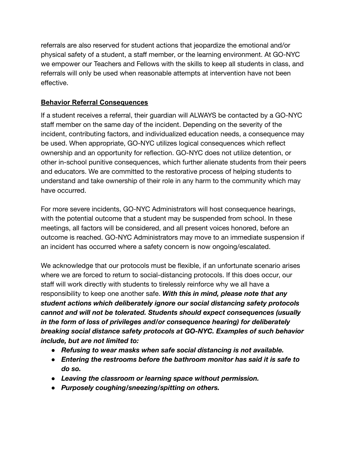referrals are also reserved for student actions that jeopardize the emotional and/or physical safety of a student, a staff member, or the learning environment. At GO-NYC we empower our Teachers and Fellows with the skills to keep all students in class, and referrals will only be used when reasonable attempts at intervention have not been effective.

#### **Behavior Referral Consequences**

If a student receives a referral, their guardian will ALWAYS be contacted by a GO-NYC staff member on the same day of the incident. Depending on the severity of the incident, contributing factors, and individualized education needs, a consequence may be used. When appropriate, GO-NYC utilizes logical consequences which reflect ownership and an opportunity for reflection. GO-NYC does not utilize detention, or other in-school punitive consequences, which further alienate students from their peers and educators. We are committed to the restorative process of helping students to understand and take ownership of their role in any harm to the community which may have occurred.

For more severe incidents, GO-NYC Administrators will host consequence hearings, with the potential outcome that a student may be suspended from school. In these meetings, all factors will be considered, and all present voices honored, before an outcome is reached. GO-NYC Administrators may move to an immediate suspension if an incident has occurred where a safety concern is now ongoing/escalated.

We acknowledge that our protocols must be flexible, if an unfortunate scenario arises where we are forced to return to social-distancing protocols. If this does occur, our staff will work directly with students to tirelessly reinforce why we all have a responsibility to keep one another safe. *With this in mind, please note that any student actions which deliberately ignore our social distancing safety protocols cannot and will not be tolerated. Students should expect consequences (usually in the form of loss of privileges and/or consequence hearing) for deliberately breaking social distance safety protocols at GO-NYC. Examples of such behavior include, but are not limited to:*

- *● Refusing to wear masks when safe social distancing is not available.*
- *● Entering the restrooms before the bathroom monitor has said it is safe to do so.*
- *● Leaving the classroom or learning space without permission.*
- *● Purposely coughing/sneezing/spitting on others.*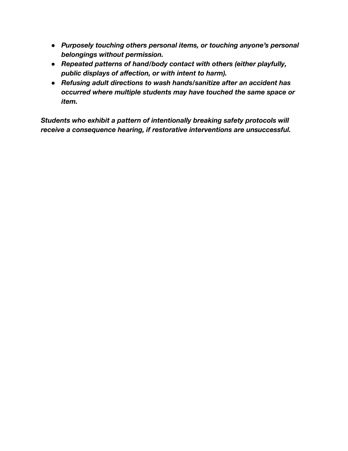- *● Purposely touching others personal items, or touching anyone's personal belongings without permission.*
- *● Repeated patterns of hand/body contact with others (either playfully, public displays of affection, or with intent to harm).*
- *● Refusing adult directions to wash hands/sanitize after an accident has occurred where multiple students may have touched the same space or item.*

*Students who exhibit a pattern of intentionally breaking safety protocols will receive a consequence hearing, if restorative interventions are unsuccessful.*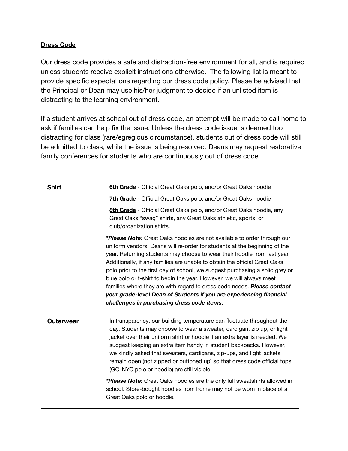#### **Dress Code**

Our dress code provides a safe and distraction-free environment for all, and is required unless students receive explicit instructions otherwise. The following list is meant to provide specific expectations regarding our dress code policy. Please be advised that the Principal or Dean may use his/her judgment to decide if an unlisted item is distracting to the learning environment.

If a student arrives at school out of dress code, an attempt will be made to call home to ask if families can help fix the issue. Unless the dress code issue is deemed too distracting for class (rare/egregious circumstance), students out of dress code will still be admitted to class, while the issue is being resolved. Deans may request restorative family conferences for students who are continuously out of dress code.

| <b>Shirt</b>     | 6th Grade - Official Great Oaks polo, and/or Great Oaks hoodie                                                                                                                                                                                                                                                                                                                                                                                                                                                                                                                                                                                                                           |
|------------------|------------------------------------------------------------------------------------------------------------------------------------------------------------------------------------------------------------------------------------------------------------------------------------------------------------------------------------------------------------------------------------------------------------------------------------------------------------------------------------------------------------------------------------------------------------------------------------------------------------------------------------------------------------------------------------------|
|                  | 7th Grade - Official Great Oaks polo, and/or Great Oaks hoodie                                                                                                                                                                                                                                                                                                                                                                                                                                                                                                                                                                                                                           |
|                  | 8th Grade - Official Great Oaks polo, and/or Great Oaks hoodie, any<br>Great Oaks "swag" shirts, any Great Oaks athletic, sports, or<br>club/organization shirts.                                                                                                                                                                                                                                                                                                                                                                                                                                                                                                                        |
|                  | *Please Note: Great Oaks hoodies are not available to order through our<br>uniform vendors. Deans will re-order for students at the beginning of the<br>year. Returning students may choose to wear their hoodie from last year.<br>Additionally, if any families are unable to obtain the official Great Oaks<br>polo prior to the first day of school, we suggest purchasing a solid grey or<br>blue polo or t-shirt to begin the year. However, we will always meet<br>families where they are with regard to dress code needs. <b>Please contact</b><br>your grade-level Dean of Students if you are experiencing financial<br>challenges in purchasing dress code items.            |
| <b>Outerwear</b> | In transparency, our building temperature can fluctuate throughout the<br>day. Students may choose to wear a sweater, cardigan, zip up, or light<br>jacket over their uniform shirt or hoodie if an extra layer is needed. We<br>suggest keeping an extra item handy in student backpacks. However,<br>we kindly asked that sweaters, cardigans, zip-ups, and light jackets<br>remain open (not zipped or buttoned up) so that dress code official tops<br>(GO-NYC polo or hoodie) are still visible.<br>*Please Note: Great Oaks hoodies are the only full sweatshirts allowed in<br>school. Store-bought hoodies from home may not be worn in place of a<br>Great Oaks polo or hoodie. |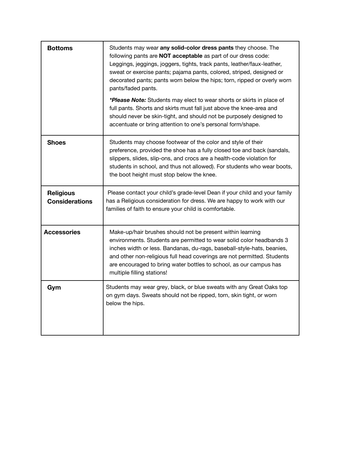| <b>Bottoms</b>                            | Students may wear any solid-color dress pants they choose. The<br>following pants are NOT acceptable as part of our dress code:<br>Leggings, jeggings, joggers, tights, track pants, leather/faux-leather,<br>sweat or exercise pants; pajama pants, colored, striped, designed or<br>decorated pants; pants worn below the hips; torn, ripped or overly worn<br>pants/faded pants.<br>*Please Note: Students may elect to wear shorts or skirts in place of<br>full pants. Shorts and skirts must fall just above the knee-area and<br>should never be skin-tight, and should not be purposely designed to<br>accentuate or bring attention to one's personal form/shape. |
|-------------------------------------------|----------------------------------------------------------------------------------------------------------------------------------------------------------------------------------------------------------------------------------------------------------------------------------------------------------------------------------------------------------------------------------------------------------------------------------------------------------------------------------------------------------------------------------------------------------------------------------------------------------------------------------------------------------------------------|
| <b>Shoes</b>                              | Students may choose footwear of the color and style of their<br>preference, provided the shoe has a fully closed toe and back (sandals,<br>slippers, slides, slip-ons, and crocs are a health-code violation for<br>students in school, and thus not allowed). For students who wear boots,<br>the boot height must stop below the knee.                                                                                                                                                                                                                                                                                                                                   |
| <b>Religious</b><br><b>Considerations</b> | Please contact your child's grade-level Dean if your child and your family<br>has a Religious consideration for dress. We are happy to work with our<br>families of faith to ensure your child is comfortable.                                                                                                                                                                                                                                                                                                                                                                                                                                                             |
| <b>Accessories</b>                        | Make-up/hair brushes should not be present within learning<br>environments. Students are permitted to wear solid color headbands 3<br>inches width or less. Bandanas, du-rags, baseball-style-hats, beanies,<br>and other non-religious full head coverings are not permitted. Students<br>are encouraged to bring water bottles to school, as our campus has<br>multiple filling stations!                                                                                                                                                                                                                                                                                |
| Gym                                       | Students may wear grey, black, or blue sweats with any Great Oaks top<br>on gym days. Sweats should not be ripped, torn, skin tight, or worn<br>below the hips.                                                                                                                                                                                                                                                                                                                                                                                                                                                                                                            |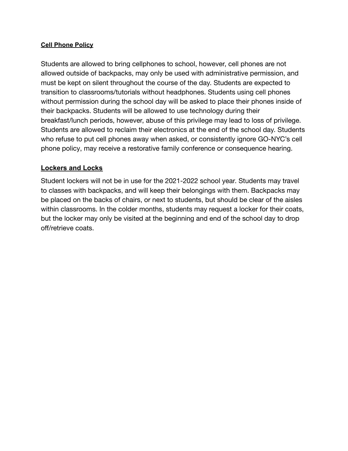#### **Cell Phone Policy**

Students are allowed to bring cellphones to school, however, cell phones are not allowed outside of backpacks, may only be used with administrative permission, and must be kept on silent throughout the course of the day. Students are expected to transition to classrooms/tutorials without headphones. Students using cell phones without permission during the school day will be asked to place their phones inside of their backpacks. Students will be allowed to use technology during their breakfast/lunch periods, however, abuse of this privilege may lead to loss of privilege. Students are allowed to reclaim their electronics at the end of the school day. Students who refuse to put cell phones away when asked, or consistently ignore GO-NYC's cell phone policy, may receive a restorative family conference or consequence hearing.

#### **Lockers and Locks**

Student lockers will not be in use for the 2021-2022 school year. Students may travel to classes with backpacks, and will keep their belongings with them. Backpacks may be placed on the backs of chairs, or next to students, but should be clear of the aisles within classrooms. In the colder months, students may request a locker for their coats, but the locker may only be visited at the beginning and end of the school day to drop off/retrieve coats.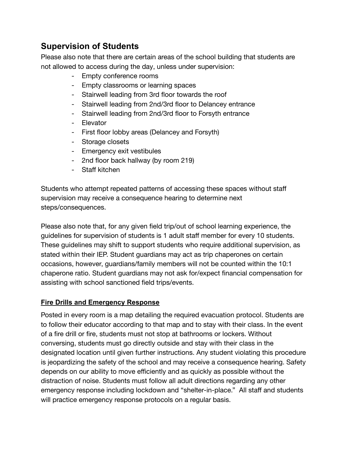## **Supervision of Students**

Please also note that there are certain areas of the school building that students are not allowed to access during the day, unless under supervision:

- Empty conference rooms
- Empty classrooms or learning spaces
- Stairwell leading from 3rd floor towards the roof
- Stairwell leading from 2nd/3rd floor to Delancey entrance
- Stairwell leading from 2nd/3rd floor to Forsyth entrance
- Elevator
- First floor lobby areas (Delancey and Forsyth)
- Storage closets
- Emergency exit vestibules
- 2nd floor back hallway (by room 219)
- Staff kitchen

Students who attempt repeated patterns of accessing these spaces without staff supervision may receive a consequence hearing to determine next steps/consequences.

Please also note that, for any given field trip/out of school learning experience, the guidelines for supervision of students is 1 adult staff member for every 10 students. These guidelines may shift to support students who require additional supervision, as stated within their IEP. Student guardians may act as trip chaperones on certain occasions, however, guardians/family members will not be counted within the 10:1 chaperone ratio. Student guardians may not ask for/expect financial compensation for assisting with school sanctioned field trips/events.

## **Fire Drills and Emergency Response**

Posted in every room is a map detailing the required evacuation protocol. Students are to follow their educator according to that map and to stay with their class. In the event of a fire drill or fire, students must not stop at bathrooms or lockers. Without conversing, students must go directly outside and stay with their class in the designated location until given further instructions. Any student violating this procedure is jeopardizing the safety of the school and may receive a consequence hearing. Safety depends on our ability to move efficiently and as quickly as possible without the distraction of noise. Students must follow all adult directions regarding any other emergency response including lockdown and "shelter-in-place." All staff and students will practice emergency response protocols on a regular basis.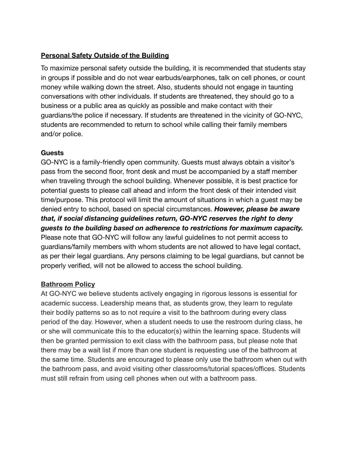#### **Personal Safety Outside of the Building**

To maximize personal safety outside the building, it is recommended that students stay in groups if possible and do not wear earbuds/earphones, talk on cell phones, or count money while walking down the street. Also, students should not engage in taunting conversations with other individuals. If students are threatened, they should go to a business or a public area as quickly as possible and make contact with their guardians/the police if necessary. If students are threatened in the vicinity of GO-NYC, students are recommended to return to school while calling their family members and/or police.

#### **Guests**

GO-NYC is a family-friendly open community. Guests must always obtain a visitor's pass from the second floor, front desk and must be accompanied by a staff member when traveling through the school building. Whenever possible, it is best practice for potential guests to please call ahead and inform the front desk of their intended visit time/purpose. This protocol will limit the amount of situations in which a guest may be denied entry to school, based on special circumstances. *However, please be aware that, if social distancing guidelines return, GO-NYC reserves the right to deny guests to the building based on adherence to restrictions for maximum capacity.* Please note that GO-NYC will follow any lawful guidelines to not permit access to guardians/family members with whom students are not allowed to have legal contact, as per their legal guardians. Any persons claiming to be legal guardians, but cannot be properly verified, will not be allowed to access the school building.

## **Bathroom Policy**

At GO-NYC we believe students actively engaging in rigorous lessons is essential for academic success. Leadership means that, as students grow, they learn to regulate their bodily patterns so as to not require a visit to the bathroom during every class period of the day. However, when a student needs to use the restroom during class, he or she will communicate this to the educator(s) within the learning space. Students will then be granted permission to exit class with the bathroom pass, but please note that there may be a wait list if more than one student is requesting use of the bathroom at the same time. Students are encouraged to please only use the bathroom when out with the bathroom pass, and avoid visiting other classrooms/tutorial spaces/offices. Students must still refrain from using cell phones when out with a bathroom pass.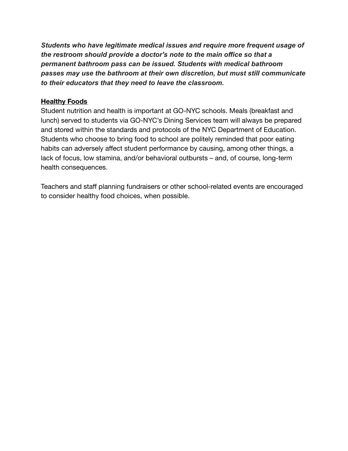*Students who have legitimate medical issues and require more frequent usage of the restroom should provide a doctor's note to the main office so that a permanent bathroom pass can be issued. Students with medical bathroom passes may use the bathroom at their own discretion, but must still communicate to their educators that they need to leave the classroom.*

#### **Healthy Foods**

Student nutrition and health is important at GO-NYC schools. Meals (breakfast and lunch) served to students via GO-NYC's Dining Services team will always be prepared and stored within the standards and protocols of the NYC Department of Education. Students who choose to bring food to school are politely reminded that poor eating habits can adversely affect student performance by causing, among other things, a lack of focus, low stamina, and/or behavioral outbursts – and, of course, long-term health consequences.

Teachers and staff planning fundraisers or other school-related events are encouraged to consider healthy food choices, when possible.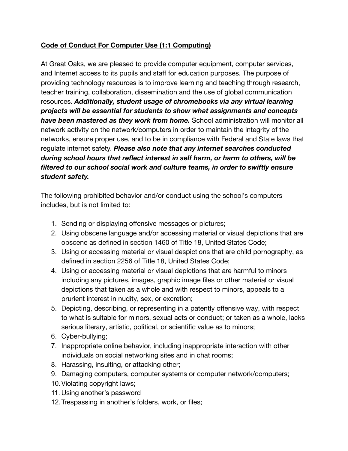## **Code of Conduct For Computer Use (1:1 Computing)**

At Great Oaks, we are pleased to provide computer equipment, computer services, and Internet access to its pupils and staff for education purposes. The purpose of providing technology resources is to improve learning and teaching through research, teacher training, collaboration, dissemination and the use of global communication resources. *Additionally, student usage of chromebooks via any virtual learning projects will be essential for students to show what assignments and concepts have been mastered as they work from home.* School administration will monitor all network activity on the network/computers in order to maintain the integrity of the networks, ensure proper use, and to be in compliance with Federal and State laws that regulate internet safety. *Please also note that any internet searches conducted during school hours that reflect interest in self harm, or harm to others, will be filtered to our school social work and culture teams, in order to swiftly ensure student safety.*

The following prohibited behavior and/or conduct using the school's computers includes, but is not limited to:

- 1. Sending or displaying offensive messages or pictures;
- 2. Using obscene language and/or accessing material or visual depictions that are obscene as defined in section 1460 of Title 18, United States Code;
- 3. Using or accessing material or visual despictions that are child pornography, as defined in section 2256 of Title 18, United States Code;
- 4. Using or accessing material or visual depictions that are harmful to minors including any pictures, images, graphic image files or other material or visual depictions that taken as a whole and with respect to minors, appeals to a prurient interest in nudity, sex, or excretion;
- 5. Depicting, describing, or representing in a patently offensive way, with respect to what is suitable for minors, sexual acts or conduct; or taken as a whole, lacks serious literary, artistic, political, or scientific value as to minors;
- 6. Cyber-bullying;
- 7. Inappropriate online behavior, including inappropriate interaction with other individuals on social networking sites and in chat rooms;
- 8. Harassing, insulting, or attacking other;
- 9. Damaging computers, computer systems or computer network/computers;
- 10.Violating copyright laws;
- 11. Using another's password
- 12.Trespassing in another's folders, work, or files;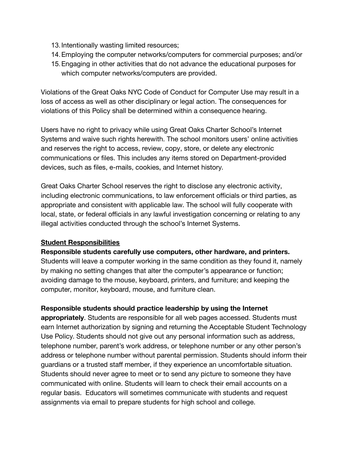- 13.Intentionally wasting limited resources;
- 14.Employing the computer networks/computers for commercial purposes; and/or
- 15.Engaging in other activities that do not advance the educational purposes for which computer networks/computers are provided.

Violations of the Great Oaks NYC Code of Conduct for Computer Use may result in a loss of access as well as other disciplinary or legal action. The consequences for violations of this Policy shall be determined within a consequence hearing.

Users have no right to privacy while using Great Oaks Charter School's Internet Systems and waive such rights herewith. The school monitors users' online activities and reserves the right to access, review, copy, store, or delete any electronic communications or files. This includes any items stored on Department-provided devices, such as files, e-mails, cookies, and Internet history.

Great Oaks Charter School reserves the right to disclose any electronic activity, including electronic communications, to law enforcement officials or third parties, as appropriate and consistent with applicable law. The school will fully cooperate with local, state, or federal officials in any lawful investigation concerning or relating to any illegal activities conducted through the school's Internet Systems.

#### **Student Responsibilities**

**Responsible students carefully use computers, other hardware, and printers.** Students will leave a computer working in the same condition as they found it, namely by making no setting changes that alter the computer's appearance or function; avoiding damage to the mouse, keyboard, printers, and furniture; and keeping the computer, monitor, keyboard, mouse, and furniture clean.

#### **Responsible students should practice leadership by using the Internet**

**appropriately**. Students are responsible for all web pages accessed. Students must earn Internet authorization by signing and returning the Acceptable Student Technology Use Policy. Students should not give out any personal information such as address, telephone number, parent's work address, or telephone number or any other person's address or telephone number without parental permission. Students should inform their guardians or a trusted staff member, if they experience an uncomfortable situation. Students should never agree to meet or to send any picture to someone they have communicated with online. Students will learn to check their email accounts on a regular basis. Educators will sometimes communicate with students and request assignments via email to prepare students for high school and college.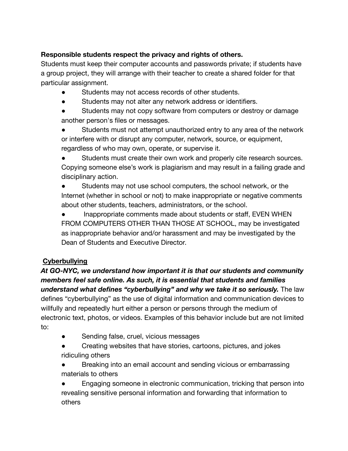## **Responsible students respect the privacy and rights of others.**

Students must keep their computer accounts and passwords private; if students have a group project, they will arrange with their teacher to create a shared folder for that particular assignment.

- Students may not access records of other students.
- Students may not alter any network address or identifiers.
- Students may not copy software from computers or destroy or damage another person's files or messages.
- Students must not attempt unauthorized entry to any area of the network or interfere with or disrupt any computer, network, source, or equipment, regardless of who may own, operate, or supervise it.

Students must create their own work and properly cite research sources. Copying someone else's work is plagiarism and may result in a failing grade and disciplinary action.

● Students may not use school computers, the school network, or the Internet (whether in school or not) to make inappropriate or negative comments about other students, teachers, administrators, or the school.

● Inappropriate comments made about students or staff, EVEN WHEN FROM COMPUTERS OTHER THAN THOSE AT SCHOOL, may be investigated as inappropriate behavior and/or harassment and may be investigated by the Dean of Students and Executive Director.

## **Cyberbullying**

*At GO-NYC, we understand how important it is that our students and community members feel safe online. As such, it is essential that students and families understand what defines "cyberbullying" and why we take it so seriously.* The law defines "cyberbullying" as the use of digital information and communication devices to willfully and repeatedly hurt either a person or persons through the medium of electronic text, photos, or videos. Examples of this behavior include but are not limited to:

- Sending false, cruel, vicious messages
- Creating websites that have stories, cartoons, pictures, and jokes ridiculing others
- Breaking into an email account and sending vicious or embarrassing materials to others

Engaging someone in electronic communication, tricking that person into revealing sensitive personal information and forwarding that information to others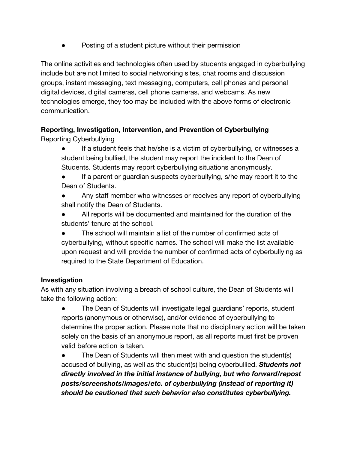Posting of a student picture without their permission

The online activities and technologies often used by students engaged in cyberbullying include but are not limited to social networking sites, chat rooms and discussion groups, instant messaging, text messaging, computers, cell phones and personal digital devices, digital cameras, cell phone cameras, and webcams. As new technologies emerge, they too may be included with the above forms of electronic communication.

# **Reporting, Investigation, Intervention, and Prevention of Cyberbullying**

Reporting Cyberbullying

- If a student feels that he/she is a victim of cyberbullying, or witnesses a student being bullied, the student may report the incident to the Dean of Students. Students may report cyberbullying situations anonymously.
- If a parent or guardian suspects cyberbullying, s/he may report it to the Dean of Students.
- Any staff member who witnesses or receives any report of cyberbullying shall notify the Dean of Students.
- All reports will be documented and maintained for the duration of the students' tenure at the school.
- The school will maintain a list of the number of confirmed acts of cyberbullying, without specific names. The school will make the list available upon request and will provide the number of confirmed acts of cyberbullying as required to the State Department of Education.

## **Investigation**

As with any situation involving a breach of school culture, the Dean of Students will take the following action:

The Dean of Students will investigate legal guardians' reports, student reports (anonymous or otherwise), and/or evidence of cyberbullying to determine the proper action. Please note that no disciplinary action will be taken solely on the basis of an anonymous report, as all reports must first be proven valid before action is taken.

The Dean of Students will then meet with and question the student(s) accused of bullying, as well as the student(s) being cyberbullied. *Students not directly involved in the initial instance of bullying, but who forward/repost posts/screenshots/images/etc. of cyberbullying (instead of reporting it) should be cautioned that such behavior also constitutes cyberbullying.*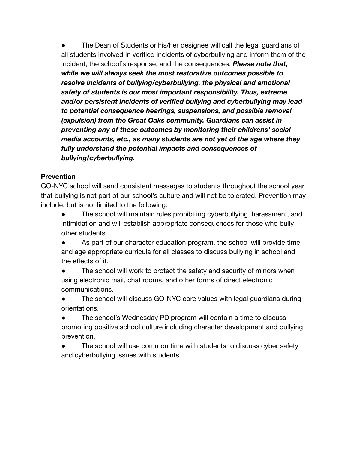The Dean of Students or his/her designee will call the legal guardians of all students involved in verified incidents of cyberbullying and inform them of the incident, the school's response, and the consequences. *Please note that, while we will always seek the most restorative outcomes possible to resolve incidents of bullying/cyberbullying, the physical and emotional safety of students is our most important responsibility. Thus, extreme and/or persistent incidents of verified bullying and cyberbullying may lead to potential consequence hearings, suspensions, and possible removal (expulsion) from the Great Oaks community. Guardians can assist in preventing any of these outcomes by monitoring their childrens' social media accounts, etc., as many students are not yet of the age where they fully understand the potential impacts and consequences of bullying/cyberbullying.*

#### **Prevention**

GO-NYC school will send consistent messages to students throughout the school year that bullying is not part of our school's culture and will not be tolerated. Prevention may include, but is not limited to the following:

● The school will maintain rules prohibiting cyberbullying, harassment, and intimidation and will establish appropriate consequences for those who bully other students.

As part of our character education program, the school will provide time and age appropriate curricula for all classes to discuss bullying in school and the effects of it.

• The school will work to protect the safety and security of minors when using electronic mail, chat rooms, and other forms of direct electronic communications.

• The school will discuss GO-NYC core values with legal guardians during orientations.

• The school's Wednesday PD program will contain a time to discuss promoting positive school culture including character development and bullying prevention.

The school will use common time with students to discuss cyber safety and cyberbullying issues with students.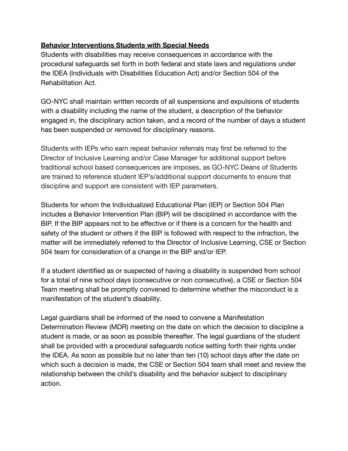#### **Behavior Interventions Students with Special Needs**

Students with disabilities may receive consequences in accordance with the procedural safeguards set forth in both federal and state laws and regulations under the IDEA (Individuals with Disabilities Education Act) and/or Section 504 of the Rehabilitation Act.

GO-NYC shall maintain written records of all suspensions and expulsions of students with a disability including the name of the student, a description of the behavior engaged in, the disciplinary action taken, and a record of the number of days a student has been suspended or removed for disciplinary reasons.

Students with IEPs who earn repeat behavior referrals may first be referred to the Director of Inclusive Learning and/or Case Manager for additional support before traditional school based consequences are imposes, as GO-NYC Deans of Students are trained to reference student IEP's/additional support documents to ensure that discipline and support are consistent with IEP parameters.

Students for whom the Individualized Educational Plan (IEP) or Section 504 Plan includes a Behavior Intervention Plan (BIP) will be disciplined in accordance with the BIP. If the BIP appears not to be effective or if there is a concern for the health and safety of the student or others if the BIP is followed with respect to the infraction, the matter will be immediately referred to the Director of Inclusive Learning, CSE or Section 504 team for consideration of a change in the BIP and/or IEP.

If a student identified as or suspected of having a disability is suspended from school for a total of nine school days (consecutive or non consecutive), a CSE or Section 504 Team meeting shall be promptly convened to determine whether the misconduct is a manifestation of the student's disability.

Legal guardians shall be informed of the need to convene a Manifestation Determination Review (MDR) meeting on the date on which the decision to discipline a student is made, or as soon as possible thereafter. The legal guardians of the student shall be provided with a procedural safeguards notice setting forth their rights under the IDEA. As soon as possible but no later than ten (10) school days after the date on which such a decision is made, the CSE or Section 504 team shall meet and review the relationship between the child's disability and the behavior subject to disciplinary action.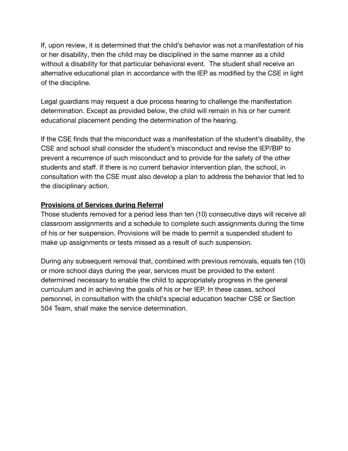If, upon review, it is determined that the child's behavior was not a manifestation of his or her disability, then the child may be disciplined in the same manner as a child without a disability for that particular behavioral event. The student shall receive an alternative educational plan in accordance with the IEP as modified by the CSE in light of the discipline.

Legal guardians may request a due process hearing to challenge the manifestation determination. Except as provided below, the child will remain in his or her current educational placement pending the determination of the hearing.

If the CSE finds that the misconduct was a manifestation of the student's disability, the CSE and school shall consider the student's misconduct and revise the IEP/BIP to prevent a recurrence of such misconduct and to provide for the safety of the other students and staff. If there is no current behavior intervention plan, the school, in consultation with the CSE must also develop a plan to address the behavior that led to the disciplinary action.

#### **Provisions of Services during Referral**

Those students removed for a period less than ten (10) consecutive days will receive all classroom assignments and a schedule to complete such assignments during the time of his or her suspension. Provisions will be made to permit a suspended student to make up assignments or tests missed as a result of such suspension.

During any subsequent removal that, combined with previous removals, equals ten (10) or more school days during the year, services must be provided to the extent determined necessary to enable the child to appropriately progress in the general curriculum and in achieving the goals of his or her IEP. In these cases, school personnel, in consultation with the child's special education teacher CSE or Section 504 Team, shall make the service determination.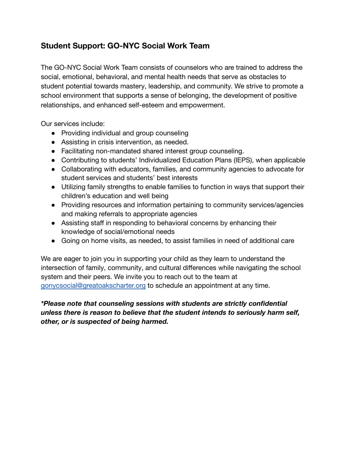## **Student Support: GO-NYC Social Work Team**

The GO-NYC Social Work Team consists of counselors who are trained to address the social, emotional, behavioral, and mental health needs that serve as obstacles to student potential towards mastery, leadership, and community. We strive to promote a school environment that supports a sense of belonging, the development of positive relationships, and enhanced self-esteem and empowerment.

Our services include:

- Providing individual and group counseling
- Assisting in crisis intervention, as needed.
- Facilitating non-mandated shared interest group counseling.
- Contributing to students' Individualized Education Plans (IEPS), when applicable
- Collaborating with educators, families, and community agencies to advocate for student services and students' best interests
- Utilizing family strengths to enable families to function in ways that support their children's education and well being
- Providing resources and information pertaining to community services/agencies and making referrals to appropriate agencies
- Assisting staff in responding to behavioral concerns by enhancing their knowledge of social/emotional needs
- Going on home visits, as needed, to assist families in need of additional care

We are eager to join you in supporting your child as they learn to understand the intersection of family, community, and cultural differences while navigating the school system and their peers. We invite you to reach out to the team at [gonycsocial@greatoakscharter.org](mailto:gonycsocial@greatoakscharter.org) to schedule an appointment at any time.

## *\*Please note that counseling sessions with students are strictly confidential unless there is reason to believe that the student intends to seriously harm self, other, or is suspected of being harmed.*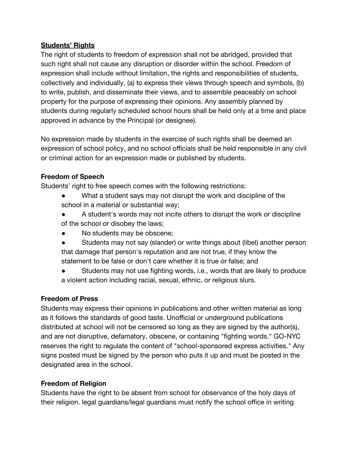#### **Students' Rights**

The right of students to freedom of expression shall not be abridged, provided that such right shall not cause any disruption or disorder within the school. Freedom of expression shall include without limitation, the rights and responsibilities of students, collectively and individually, (a) to express their views through speech and symbols, (b) to write, publish, and disseminate their views, and to assemble peaceably on school property for the purpose of expressing their opinions. Any assembly planned by students during regularly scheduled school hours shall be held only at a time and place approved in advance by the Principal (or designee).

No expression made by students in the exercise of such rights shall be deemed an expression of school policy, and no school officials shall be held responsible in any civil or criminal action for an expression made or published by students.

## **Freedom of Speech**

Students' right to free speech comes with the following restrictions:

- What a student says may not disrupt the work and discipline of the school in a material or substantial way;
- A student's words may not incite others to disrupt the work or discipline of the school or disobey the laws;
- No students may be obscene;
- Students may not say (slander) or write things about (libel) another person that damage that person's reputation and are not true, if they know the statement to be false or don't care whether it is true or false; and
- Students may not use fighting words, i.e., words that are likely to produce a violent action including racial, sexual, ethnic, or religious slurs.

## **Freedom of Press**

Students may express their opinions in publications and other written material as long as it follows the standards of good taste. Unofficial or underground publications distributed at school will not be censored so long as they are signed by the author(s), and are not disruptive, defamatory, obscene, or containing "fighting words." GO-NYC reserves the right to regulate the content of "school-sponsored express activities." Any signs posted must be signed by the person who puts it up and must be posted in the designated area in the school.

## **Freedom of Religion**

Students have the right to be absent from school for observance of the holy days of their religion. legal guardians/legal guardians must notify the school office in writing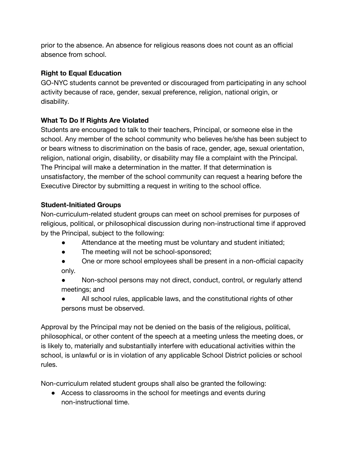prior to the absence. An absence for religious reasons does not count as an official absence from school.

## **Right to Equal Education**

GO-NYC students cannot be prevented or discouraged from participating in any school activity because of race, gender, sexual preference, religion, national origin, or disability.

## **What To Do If Rights Are Violated**

Students are encouraged to talk to their teachers, Principal, or someone else in the school. Any member of the school community who believes he/she has been subject to or bears witness to discrimination on the basis of race, gender, age, sexual orientation, religion, national origin, disability, or disability may file a complaint with the Principal. The Principal will make a determination in the matter. If that determination is unsatisfactory, the member of the school community can request a hearing before the Executive Director by submitting a request in writing to the school office.

## **Student-Initiated Groups**

Non-curriculum‐related student groups can meet on school premises for purposes of religious, political, or philosophical discussion during non‐instructional time if approved by the Principal, subject to the following:

- Attendance at the meeting must be voluntary and student initiated;
- The meeting will not be school-sponsored;
- One or more school employees shall be present in a non-official capacity only.
- Non-school persons may not direct, conduct, control, or regularly attend meetings; and
- All school rules, applicable laws, and the constitutional rights of other persons must be observed.

Approval by the Principal may not be denied on the basis of the religious, political, philosophical, or other content of the speech at a meeting unless the meeting does, or is likely to, materially and substantially interfere with educational activities within the school, is unlawful or is in violation of any applicable School District policies or school rules.

Non‐curriculum related student groups shall also be granted the following:

• Access to classrooms in the school for meetings and events during non-instructional time.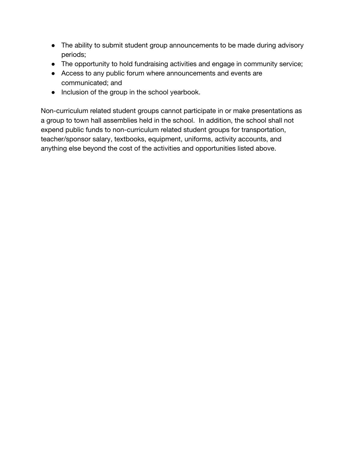- The ability to submit student group announcements to be made during advisory periods;
- The opportunity to hold fundraising activities and engage in community service;
- Access to any public forum where announcements and events are communicated; and
- Inclusion of the group in the school yearbook.

Non-curriculum related student groups cannot participate in or make presentations as a group to town hall assemblies held in the school. In addition, the school shall not expend public funds to non-curriculum related student groups for transportation, teacher/sponsor salary, textbooks, equipment, uniforms, activity accounts, and anything else beyond the cost of the activities and opportunities listed above.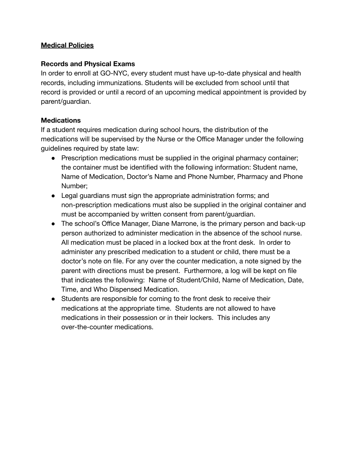#### **Medical Policies**

#### **Records and Physical Exams**

In order to enroll at GO-NYC, every student must have up-to-date physical and health records, including immunizations. Students will be excluded from school until that record is provided or until a record of an upcoming medical appointment is provided by parent/guardian.

#### **Medications**

If a student requires medication during school hours, the distribution of the medications will be supervised by the Nurse or the Office Manager under the following guidelines required by state law:

- Prescription medications must be supplied in the original pharmacy container; the container must be identified with the following information: Student name, Name of Medication, Doctor's Name and Phone Number, Pharmacy and Phone Number;
- Legal guardians must sign the appropriate administration forms; and non‐prescription medications must also be supplied in the original container and must be accompanied by written consent from parent/guardian.
- The school's Office Manager, Diane Marrone, is the primary person and back-up person authorized to administer medication in the absence of the school nurse. All medication must be placed in a locked box at the front desk. In order to administer any prescribed medication to a student or child, there must be a doctor's note on file. For any over the counter medication, a note signed by the parent with directions must be present. Furthermore, a log will be kept on file that indicates the following: Name of Student/Child, Name of Medication, Date, Time, and Who Dispensed Medication.
- Students are responsible for coming to the front desk to receive their medications at the appropriate time. Students are not allowed to have medications in their possession or in their lockers. This includes any over‐the‐counter medications.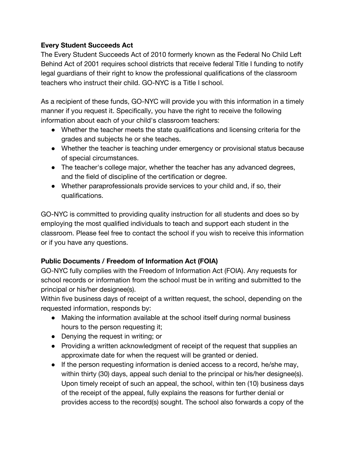## **Every Student Succeeds Act**

The Every Student Succeeds Act of 2010 formerly known as the Federal No Child Left Behind Act of 2001 requires school districts that receive federal Title I funding to notify legal guardians of their right to know the professional qualifications of the classroom teachers who instruct their child. GO-NYC is a Title I school.

As a recipient of these funds, GO-NYC will provide you with this information in a timely manner if you request it. Specifically, you have the right to receive the following information about each of your child's classroom teachers:

- Whether the teacher meets the state qualifications and licensing criteria for the grades and subjects he or she teaches.
- Whether the teacher is teaching under emergency or provisional status because of special circumstances.
- The teacher's college major, whether the teacher has any advanced degrees, and the field of discipline of the certification or degree.
- Whether paraprofessionals provide services to your child and, if so, their qualifications.

GO-NYC is committed to providing quality instruction for all students and does so by employing the most qualified individuals to teach and support each student in the classroom. Please feel free to contact the school if you wish to receive this information or if you have any questions.

## **Public Documents / Freedom of Information Act (FOIA)**

GO-NYC fully complies with the Freedom of Information Act (FOIA). Any requests for school records or information from the school must be in writing and submitted to the principal or his/her designee(s).

Within five business days of receipt of a written request, the school, depending on the requested information, responds by:

- Making the information available at the school itself during normal business hours to the person requesting it;
- Denying the request in writing; or
- Providing a written acknowledgment of receipt of the request that supplies an approximate date for when the request will be granted or denied.
- If the person requesting information is denied access to a record, he/she may, within thirty (30) days, appeal such denial to the principal or his/her designee(s). Upon timely receipt of such an appeal, the school, within ten (10) business days of the receipt of the appeal, fully explains the reasons for further denial or provides access to the record(s) sought. The school also forwards a copy of the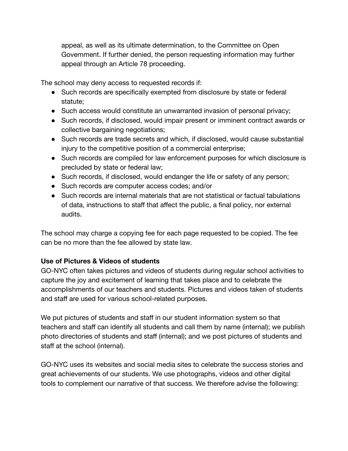appeal, as well as its ultimate determination, to the Committee on Open Government. If further denied, the person requesting information may further appeal through an Article 78 proceeding.

The school may deny access to requested records if:

- Such records are specifically exempted from disclosure by state or federal statute;
- Such access would constitute an unwarranted invasion of personal privacy;
- Such records, if disclosed, would impair present or imminent contract awards or collective bargaining negotiations;
- Such records are trade secrets and which, if disclosed, would cause substantial injury to the competitive position of a commercial enterprise;
- Such records are compiled for law enforcement purposes for which disclosure is precluded by state or federal law;
- Such records, if disclosed, would endanger the life or safety of any person;
- Such records are computer access codes; and/or
- Such records are internal materials that are not statistical or factual tabulations of data, instructions to staff that affect the public, a final policy, nor external audits.

The school may charge a copying fee for each page requested to be copied. The fee can be no more than the fee allowed by state law.

## **Use of Pictures & Videos of students**

GO-NYC often takes pictures and videos of students during regular school activities to capture the joy and excitement of learning that takes place and to celebrate the accomplishments of our teachers and students. Pictures and videos taken of students and staff are used for various school-related purposes.

We put pictures of students and staff in our student information system so that teachers and staff can identify all students and call them by name (internal); we publish photo directories of students and staff (internal); and we post pictures of students and staff at the school (internal).

GO-NYC uses its websites and social media sites to celebrate the success stories and great achievements of our students. We use photographs, videos and other digital tools to complement our narrative of that success. We therefore advise the following: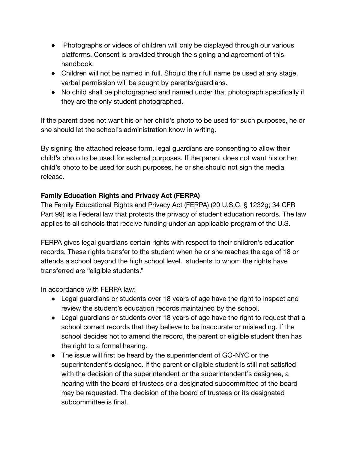- Photographs or videos of children will only be displayed through our various platforms. Consent is provided through the signing and agreement of this handbook.
- Children will not be named in full. Should their full name be used at any stage, verbal permission will be sought by parents/guardians.
- No child shall be photographed and named under that photograph specifically if they are the only student photographed.

If the parent does not want his or her child's photo to be used for such purposes, he or she should let the school's administration know in writing.

By signing the attached release form, legal guardians are consenting to allow their child's photo to be used for external purposes. If the parent does not want his or her child's photo to be used for such purposes, he or she should not sign the media release.

## **Family Education Rights and Privacy Act (FERPA)**

The Family Educational Rights and Privacy Act (FERPA) (20 U.S.C. § 1232g; 34 CFR Part 99) is a Federal law that protects the privacy of student education records. The law applies to all schools that receive funding under an applicable program of the U.S.

FERPA gives legal guardians certain rights with respect to their children's education records. These rights transfer to the student when he or she reaches the age of 18 or attends a school beyond the high school level. students to whom the rights have transferred are "eligible students."

In accordance with FERPA law:

- Legal guardians or students over 18 years of age have the right to inspect and review the student's education records maintained by the school.
- Legal guardians or students over 18 years of age have the right to request that a school correct records that they believe to be inaccurate or misleading. If the school decides not to amend the record, the parent or eligible student then has the right to a formal hearing.
- The issue will first be heard by the superintendent of GO-NYC or the superintendent's designee. If the parent or eligible student is still not satisfied with the decision of the superintendent or the superintendent's designee, a hearing with the board of trustees or a designated subcommittee of the board may be requested. The decision of the board of trustees or its designated subcommittee is final.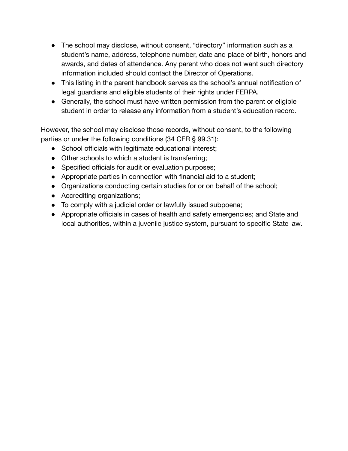- The school may disclose, without consent, "directory" information such as a student's name, address, telephone number, date and place of birth, honors and awards, and dates of attendance. Any parent who does not want such directory information included should contact the Director of Operations.
- This listing in the parent handbook serves as the school's annual notification of legal guardians and eligible students of their rights under FERPA.
- Generally, the school must have written permission from the parent or eligible student in order to release any information from a student's education record.

However, the school may disclose those records, without consent, to the following parties or under the following conditions (34 CFR § 99.31):

- School officials with legitimate educational interest;
- Other schools to which a student is transferring;
- Specified officials for audit or evaluation purposes;
- Appropriate parties in connection with financial aid to a student;
- Organizations conducting certain studies for or on behalf of the school;
- Accrediting organizations;
- To comply with a judicial order or lawfully issued subpoena;
- Appropriate officials in cases of health and safety emergencies; and State and local authorities, within a juvenile justice system, pursuant to specific State law.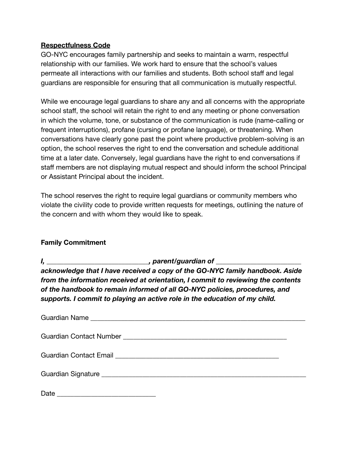#### **Respectfulness Code**

GO-NYC encourages family partnership and seeks to maintain a warm, respectful relationship with our families. We work hard to ensure that the school's values permeate all interactions with our families and students. Both school staff and legal guardians are responsible for ensuring that all communication is mutually respectful.

While we encourage legal guardians to share any and all concerns with the appropriate school staff, the school will retain the right to end any meeting or phone conversation in which the volume, tone, or substance of the communication is rude (name-calling or frequent interruptions), profane (cursing or profane language), or threatening. When conversations have clearly gone past the point where productive problem-solving is an option, the school reserves the right to end the conversation and schedule additional time at a later date. Conversely, legal guardians have the right to end conversations if staff members are not displaying mutual respect and should inform the school Principal or Assistant Principal about the incident.

The school reserves the right to require legal guardians or community members who violate the civility code to provide written requests for meetings, outlining the nature of the concern and with whom they would like to speak.

#### **Family Commitment**

| , parent/guardian of                                                             |  |
|----------------------------------------------------------------------------------|--|
| acknowledge that I have received a copy of the GO-NYC family handbook. Aside     |  |
| from the information received at orientation, I commit to reviewing the contents |  |
| of the handbook to remain informed of all GO-NYC policies, procedures, and       |  |
| supports. I commit to playing an active role in the education of my child.       |  |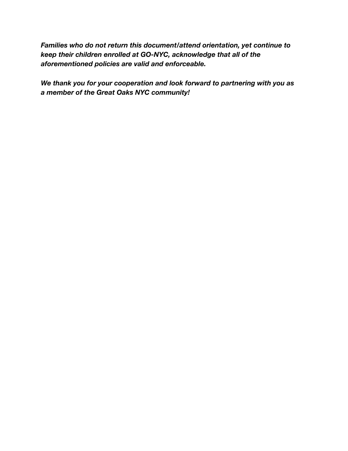*Families who do not return this document/attend orientation, yet continue to keep their children enrolled at GO-NYC, acknowledge that all of the aforementioned policies are valid and enforceable.*

*We thank you for your cooperation and look forward to partnering with you as a member of the Great Oaks NYC community!*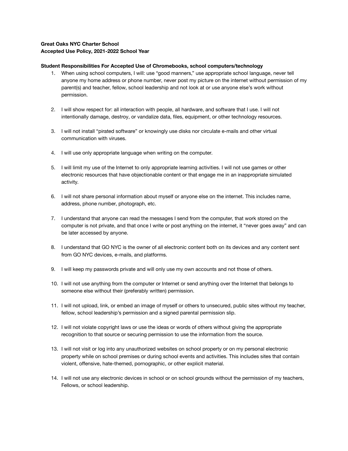#### **Great Oaks NYC Charter School Accepted Use Policy, 2021-2022 School Year**

#### **Student Responsibilities For Accepted Use of Chromebooks, school computers/technology**

- 1. When using school computers, I will: use "good manners," use appropriate school language, never tell anyone my home address or phone number, never post my picture on the internet without permission of my parent(s) and teacher, fellow, school leadership and not look at or use anyone else's work without permission.
- 2. I will show respect for: all interaction with people, all hardware, and software that I use. I will not intentionally damage, destroy, or vandalize data, files, equipment, or other technology resources.
- 3. I will not install "pirated software" or knowingly use disks nor circulate e-mails and other virtual communication with viruses.
- 4. I will use only appropriate language when writing on the computer.
- 5. I will limit my use of the Internet to only appropriate learning activities. I will not use games or other electronic resources that have objectionable content or that engage me in an inappropriate simulated activity.
- 6. I will not share personal information about myself or anyone else on the internet. This includes name, address, phone number, photograph, etc.
- 7. I understand that anyone can read the messages I send from the computer, that work stored on the computer is not private, and that once I write or post anything on the internet, it "never goes away" and can be later accessed by anyone.
- 8. I understand that GO NYC is the owner of all electronic content both on its devices and any content sent from GO NYC devices, e-mails, and platforms.
- 9. I will keep my passwords private and will only use my own accounts and not those of others.
- 10. I will not use anything from the computer or Internet or send anything over the Internet that belongs to someone else without their (preferably written) permission.
- 11. I will not upload, link, or embed an image of myself or others to unsecured, public sites without my teacher, fellow, school leadership's permission and a signed parental permission slip.
- 12. I will not violate copyright laws or use the ideas or words of others without giving the appropriate recognition to that source or securing permission to use the information from the source.
- 13. I will not visit or log into any unauthorized websites on school property or on my personal electronic property while on school premises or during school events and activities. This includes sites that contain violent, offensive, hate-themed, pornographic, or other explicit material.
- 14. I will not use any electronic devices in school or on school grounds without the permission of my teachers, Fellows, or school leadership.